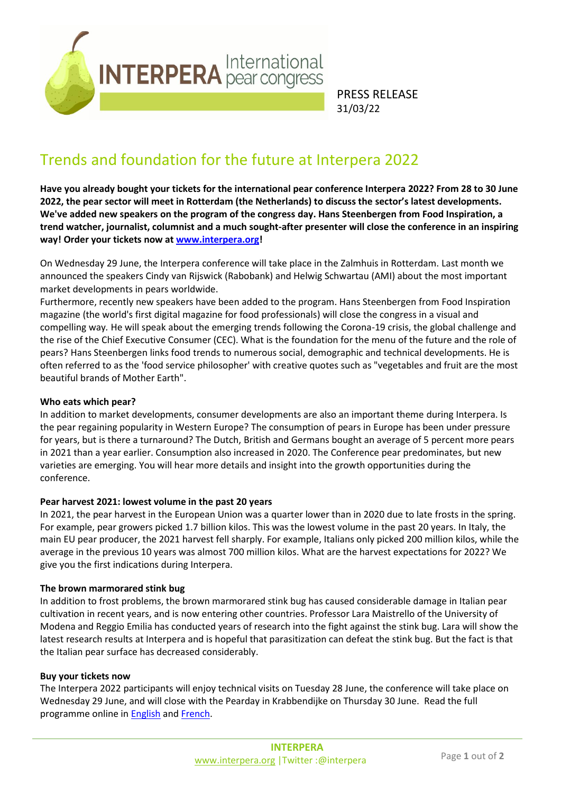

PRESS RELEASE 31/03/22

# Trends and foundation for the future at Interpera 2022

**Have you already bought your tickets for the international pear conference Interpera 2022? From 28 to 30 June 2022, the pear sector will meet in Rotterdam (the Netherlands) to discuss the sector's latest developments. We've added new speakers on the program of the congress day. Hans Steenbergen from Food Inspiration, a trend watcher, journalist, columnist and a much sought-after presenter will close the conference in an inspiring way! Order your tickets now at [www.interpera.org!](http://www.interpera.org/)**

On Wednesday 29 June, the Interpera conference will take place in the Zalmhuis in Rotterdam. Last month we announced the speakers Cindy van Rijswick (Rabobank) and Helwig Schwartau (AMI) about the most important market developments in pears worldwide.

Furthermore, recently new speakers have been added to the program. Hans Steenbergen from Food Inspiration magazine (the world's first digital magazine for food professionals) will close the congress in a visual and compelling way*.* He will speak about the emerging trends following the Corona-19 crisis, the global challenge and the rise of the Chief Executive Consumer (CEC). What is the foundation for the menu of the future and the role of pears? Hans Steenbergen links food trends to numerous social, demographic and technical developments. He is often referred to as the 'food service philosopher' with creative quotes such as "vegetables and fruit are the most beautiful brands of Mother Earth".

## **Who eats which pear?**

In addition to market developments, consumer developments are also an important theme during Interpera. Is the pear regaining popularity in Western Europe? The consumption of pears in Europe has been under pressure for years, but is there a turnaround? The Dutch, British and Germans bought an average of 5 percent more pears in 2021 than a year earlier. Consumption also increased in 2020. The Conference pear predominates, but new varieties are emerging. You will hear more details and insight into the growth opportunities during the conference.

#### **Pear harvest 2021: lowest volume in the past 20 years**

In 2021, the pear harvest in the European Union was a quarter lower than in 2020 due to late frosts in the spring. For example, pear growers picked 1.7 billion kilos. This was the lowest volume in the past 20 years. In Italy, the main EU pear producer, the 2021 harvest fell sharply. For example, Italians only picked 200 million kilos, while the average in the previous 10 years was almost 700 million kilos. What are the harvest expectations for 2022? We give you the first indications during Interpera.

#### **The brown marmorared stink bug**

In addition to frost problems, the brown marmorared stink bug has caused considerable damage in Italian pear cultivation in recent years, and is now entering other countries. Professor Lara Maistrello of the University of Modena and Reggio Emilia has conducted years of research into the fight against the stink bug. Lara will show the latest research results at Interpera and is hopeful that parasitization can defeat the stink bug. But the fact is that the Italian pear surface has decreased considerably.

#### **Buy your tickets now**

The Interpera 2022 participants will enjoy technical visits on Tuesday 28 June, the conference will take place on Wednesday 29 June, and will close with the Pearday in Krabbendijke on Thursday 30 June. Read the full programme online in [English](https://www.areflh.org/images/03-thematiques/Interpera/2022/Programme_interpera_2022_EN.pdf) and [French.](https://www.areflh.org/images/03-thematiques/Interpera/2022/Programme_interpera_2022_FR.pdf)